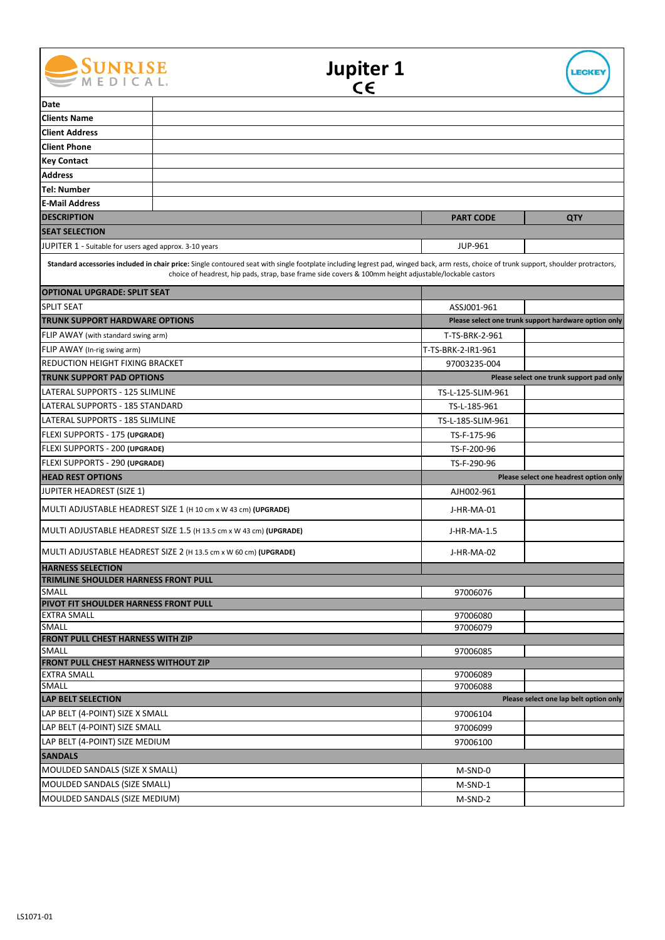

| Date                                                                                                                                                                                                                                                                                              |                      |                                                      |  |
|---------------------------------------------------------------------------------------------------------------------------------------------------------------------------------------------------------------------------------------------------------------------------------------------------|----------------------|------------------------------------------------------|--|
| <b>Clients Name</b>                                                                                                                                                                                                                                                                               |                      |                                                      |  |
| <b>Client Address</b>                                                                                                                                                                                                                                                                             |                      |                                                      |  |
| <b>Client Phone</b>                                                                                                                                                                                                                                                                               |                      |                                                      |  |
| <b>Key Contact</b>                                                                                                                                                                                                                                                                                |                      |                                                      |  |
| <b>Address</b>                                                                                                                                                                                                                                                                                    |                      |                                                      |  |
| <b>Tel: Number</b>                                                                                                                                                                                                                                                                                |                      |                                                      |  |
| <b>E-Mail Address</b>                                                                                                                                                                                                                                                                             |                      |                                                      |  |
| <b>DESCRIPTION</b>                                                                                                                                                                                                                                                                                | <b>PART CODE</b>     | <b>QTY</b>                                           |  |
| <b>SEAT SELECTION</b>                                                                                                                                                                                                                                                                             |                      |                                                      |  |
| JUPITER 1 - Suitable for users aged approx. 3-10 years                                                                                                                                                                                                                                            | <b>JUP-961</b>       |                                                      |  |
|                                                                                                                                                                                                                                                                                                   |                      |                                                      |  |
| Standard accessories included in chair price: Single contoured seat with single footplate including legrest pad, winged back, arm rests, choice of trunk support, shoulder protractors,<br>choice of headrest, hip pads, strap, base frame side covers & 100mm height adjustable/lockable castors |                      |                                                      |  |
| <b>OPTIONAL UPGRADE: SPLIT SEAT</b>                                                                                                                                                                                                                                                               |                      |                                                      |  |
| <b>SPLIT SEAT</b>                                                                                                                                                                                                                                                                                 | ASSJ001-961          |                                                      |  |
| <b>TRUNK SUPPORT HARDWARE OPTIONS</b>                                                                                                                                                                                                                                                             |                      | Please select one trunk support hardware option only |  |
| FLIP AWAY (with standard swing arm)                                                                                                                                                                                                                                                               | T-TS-BRK-2-961       |                                                      |  |
| FLIP AWAY (In-rig swing arm)                                                                                                                                                                                                                                                                      | T-TS-BRK-2-IR1-961   |                                                      |  |
| REDUCTION HEIGHT FIXING BRACKET                                                                                                                                                                                                                                                                   | 97003235-004         |                                                      |  |
| <b>TRUNK SUPPORT PAD OPTIONS</b>                                                                                                                                                                                                                                                                  |                      | Please select one trunk support pad only             |  |
| LATERAL SUPPORTS - 125 SLIMLINE                                                                                                                                                                                                                                                                   | TS-L-125-SLIM-961    |                                                      |  |
| LATERAL SUPPORTS - 185 STANDARD                                                                                                                                                                                                                                                                   | TS-L-185-961         |                                                      |  |
| LATERAL SUPPORTS - 185 SLIMLINE                                                                                                                                                                                                                                                                   | TS-L-185-SLIM-961    |                                                      |  |
| FLEXI SUPPORTS - 175 (UPGRADE)                                                                                                                                                                                                                                                                    | TS-F-175-96          |                                                      |  |
| FLEXI SUPPORTS - 200 (UPGRADE)                                                                                                                                                                                                                                                                    | TS-F-200-96          |                                                      |  |
| FLEXI SUPPORTS - 290 (UPGRADE)                                                                                                                                                                                                                                                                    | TS-F-290-96          |                                                      |  |
| <b>HEAD REST OPTIONS</b>                                                                                                                                                                                                                                                                          |                      | Please select one headrest option only               |  |
| JUPITER HEADREST (SIZE 1)                                                                                                                                                                                                                                                                         | AJH002-961           |                                                      |  |
|                                                                                                                                                                                                                                                                                                   |                      |                                                      |  |
| MULTI ADJUSTABLE HEADREST SIZE 1 (H 10 cm x W 43 cm) (UPGRADE)                                                                                                                                                                                                                                    | J-HR-MA-01           |                                                      |  |
| MULTI ADJUSTABLE HEADREST SIZE 1.5 (H 13.5 cm x W 43 cm) (UPGRADE)                                                                                                                                                                                                                                | J-HR-MA-1.5          |                                                      |  |
| MULTI ADJUSTABLE HEADREST SIZE 2 (H 13.5 cm x W 60 cm) (UPGRADE)                                                                                                                                                                                                                                  | J-HR-MA-02           |                                                      |  |
| <b>HARNESS SELECTION</b>                                                                                                                                                                                                                                                                          |                      |                                                      |  |
| <b>TRIMLINE SHOULDER HARNESS FRONT PULL</b>                                                                                                                                                                                                                                                       |                      |                                                      |  |
| SMALL                                                                                                                                                                                                                                                                                             | 97006076             |                                                      |  |
| PIVOT FIT SHOULDER HARNESS FRONT PULL                                                                                                                                                                                                                                                             |                      |                                                      |  |
| <b>EXTRA SMALL</b><br>SMALL                                                                                                                                                                                                                                                                       | 97006080<br>97006079 |                                                      |  |
| <b>FRONT PULL CHEST HARNESS WITH ZIP</b>                                                                                                                                                                                                                                                          |                      |                                                      |  |
| <b>SMALL</b>                                                                                                                                                                                                                                                                                      | 97006085             |                                                      |  |
| <b>FRONT PULL CHEST HARNESS WITHOUT ZIP</b>                                                                                                                                                                                                                                                       |                      |                                                      |  |
| <b>EXTRA SMALL</b>                                                                                                                                                                                                                                                                                | 97006089             |                                                      |  |
| SMALL<br><b>LAP BELT SELECTION</b>                                                                                                                                                                                                                                                                | 97006088             | Please select one lap belt option only               |  |
| LAP BELT (4-POINT) SIZE X SMALL                                                                                                                                                                                                                                                                   | 97006104             |                                                      |  |
| LAP BELT (4-POINT) SIZE SMALL                                                                                                                                                                                                                                                                     | 97006099             |                                                      |  |
| LAP BELT (4-POINT) SIZE MEDIUM                                                                                                                                                                                                                                                                    | 97006100             |                                                      |  |
| <b>SANDALS</b>                                                                                                                                                                                                                                                                                    |                      |                                                      |  |
| MOULDED SANDALS (SIZE X SMALL)                                                                                                                                                                                                                                                                    |                      |                                                      |  |
| MOULDED SANDALS (SIZE SMALL)                                                                                                                                                                                                                                                                      | M-SND-0              |                                                      |  |
| MOULDED SANDALS (SIZE MEDIUM)                                                                                                                                                                                                                                                                     | M-SND-1<br>M-SND-2   |                                                      |  |
|                                                                                                                                                                                                                                                                                                   |                      |                                                      |  |